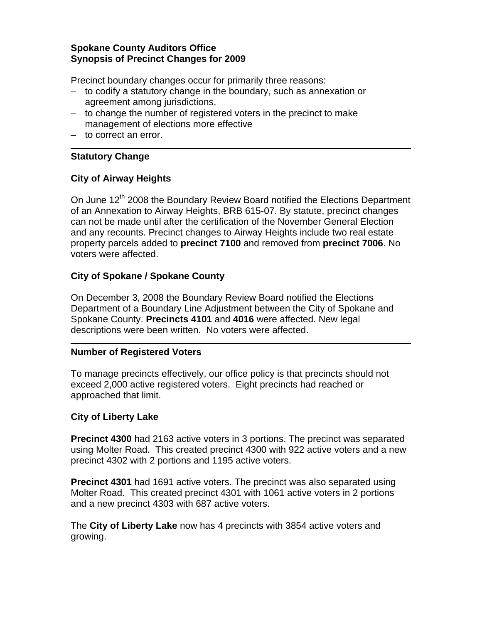### **Spokane County Auditors Office Synopsis of Precinct Changes for 2009**

Precinct boundary changes occur for primarily three reasons:

- to codify a statutory change in the boundary, such as annexation or agreement among jurisdictions,
- to change the number of registered voters in the precinct to make management of elections more effective
- to correct an error.

### **Statutory Change**

# **City of Airway Heights**

On June 12<sup>th</sup> 2008 the Boundary Review Board notified the Elections Department of an Annexation to Airway Heights, BRB 615-07. By statute, precinct changes can not be made until after the certification of the November General Election and any recounts. Precinct changes to Airway Heights include two real estate property parcels added to **precinct 7100** and removed from **precinct 7006**. No voters were affected.

# **City of Spokane / Spokane County**

On December 3, 2008 the Boundary Review Board notified the Elections Department of a Boundary Line Adjustment between the City of Spokane and Spokane County. **Precincts 4101** and **4016** were affected. New legal descriptions were been written. No voters were affected.

### **Number of Registered Voters**

To manage precincts effectively, our office policy is that precincts should not exceed 2,000 active registered voters. Eight precincts had reached or approached that limit.

### **City of Liberty Lake**

**Precinct 4300** had 2163 active voters in 3 portions. The precinct was separated using Molter Road. This created precinct 4300 with 922 active voters and a new precinct 4302 with 2 portions and 1195 active voters.

**Precinct 4301** had 1691 active voters. The precinct was also separated using Molter Road. This created precinct 4301 with 1061 active voters in 2 portions and a new precinct 4303 with 687 active voters.

The **City of Liberty Lake** now has 4 precincts with 3854 active voters and growing.